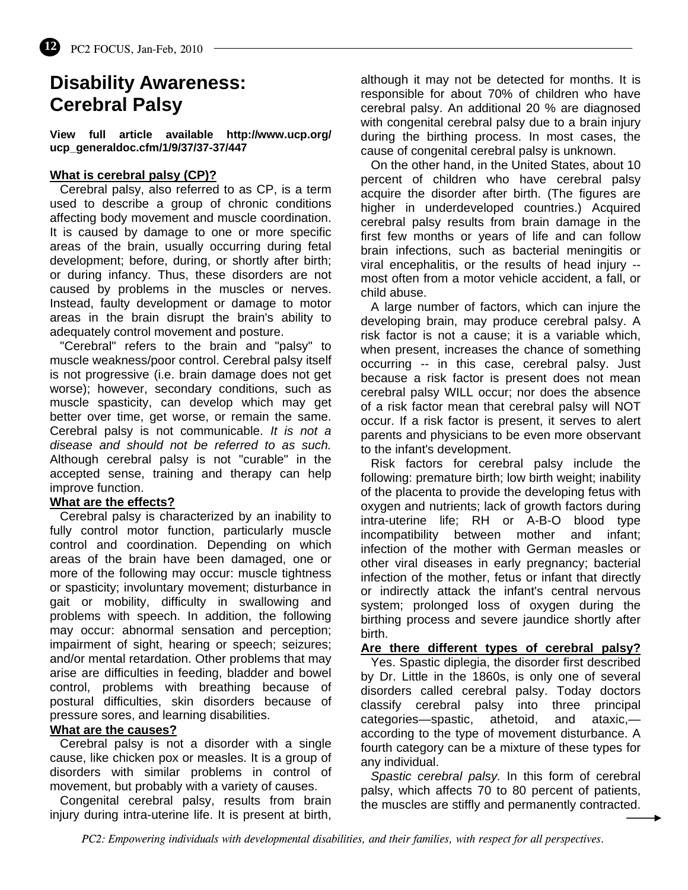# **Disability Awareness: Cerebral Palsy**

**View full article available http://www.ucp.org/ ucp\_generaldoc.cfm/1/9/37/37-37/447** 

#### **What is cerebral palsy (CP)?**

 Cerebral palsy, also referred to as CP, is a term used to describe a group of chronic conditions affecting body movement and muscle coordination. It is caused by damage to one or more specific areas of the brain, usually occurring during fetal development; before, during, or shortly after birth; or during infancy. Thus, these disorders are not caused by problems in the muscles or nerves. Instead, faulty development or damage to motor areas in the brain disrupt the brain's ability to adequately control movement and posture.

 "Cerebral" refers to the brain and "palsy" to muscle weakness/poor control. Cerebral palsy itself is not progressive (i.e. brain damage does not get worse); however, secondary conditions, such as muscle spasticity, can develop which may get better over time, get worse, or remain the same. Cerebral palsy is not communicable. *It is not a disease and should not be referred to as such.* Although cerebral palsy is not "curable" in the accepted sense, training and therapy can help improve function.

#### **What are the effects?**

 Cerebral palsy is characterized by an inability to fully control motor function, particularly muscle control and coordination. Depending on which areas of the brain have been damaged, one or more of the following may occur: muscle tightness or spasticity; involuntary movement; disturbance in gait or mobility, difficulty in swallowing and problems with speech. In addition, the following may occur: abnormal sensation and perception; impairment of sight, hearing or speech; seizures; and/or mental retardation. Other problems that may arise are difficulties in feeding, bladder and bowel control, problems with breathing because of postural difficulties, skin disorders because of pressure sores, and learning disabilities.

#### **What are the causes?**

 Cerebral palsy is not a disorder with a single cause, like chicken pox or measles. It is a group of disorders with similar problems in control of movement, but probably with a variety of causes.

 Congenital cerebral palsy, results from brain injury during intra-uterine life. It is present at birth,

although it may not be detected for months. It is responsible for about 70% of children who have cerebral palsy. An additional 20 % are diagnosed with congenital cerebral palsy due to a brain injury during the birthing process. In most cases, the cause of congenital cerebral palsy is unknown.

 On the other hand, in the United States, about 10 percent of children who have cerebral palsy acquire the disorder after birth. (The figures are higher in underdeveloped countries.) Acquired cerebral palsy results from brain damage in the first few months or years of life and can follow brain infections, such as bacterial meningitis or viral encephalitis, or the results of head injury - most often from a motor vehicle accident, a fall, or child abuse.

 A large number of factors, which can injure the developing brain, may produce cerebral palsy. A risk factor is not a cause; it is a variable which, when present, increases the chance of something occurring -- in this case, cerebral palsy. Just because a risk factor is present does not mean cerebral palsy WILL occur; nor does the absence of a risk factor mean that cerebral palsy will NOT occur. If a risk factor is present, it serves to alert parents and physicians to be even more observant to the infant's development.

 Risk factors for cerebral palsy include the following: premature birth; low birth weight; inability of the placenta to provide the developing fetus with oxygen and nutrients; lack of growth factors during intra-uterine life; RH or A-B-O blood type incompatibility between mother and infant; infection of the mother with German measles or other viral diseases in early pregnancy; bacterial infection of the mother, fetus or infant that directly or indirectly attack the infant's central nervous system; prolonged loss of oxygen during the birthing process and severe jaundice shortly after birth.

### **Are there different types of cerebral palsy?**

 Yes. Spastic diplegia, the disorder first described by Dr. Little in the 1860s, is only one of several disorders called cerebral palsy. Today doctors classify cerebral palsy into three principal categories—spastic, athetoid, and ataxic, according to the type of movement disturbance. A fourth category can be a mixture of these types for any individual.

 *Spastic cerebral palsy.* In this form of cerebral palsy, which affects 70 to 80 percent of patients, the muscles are stiffly and permanently contracted.